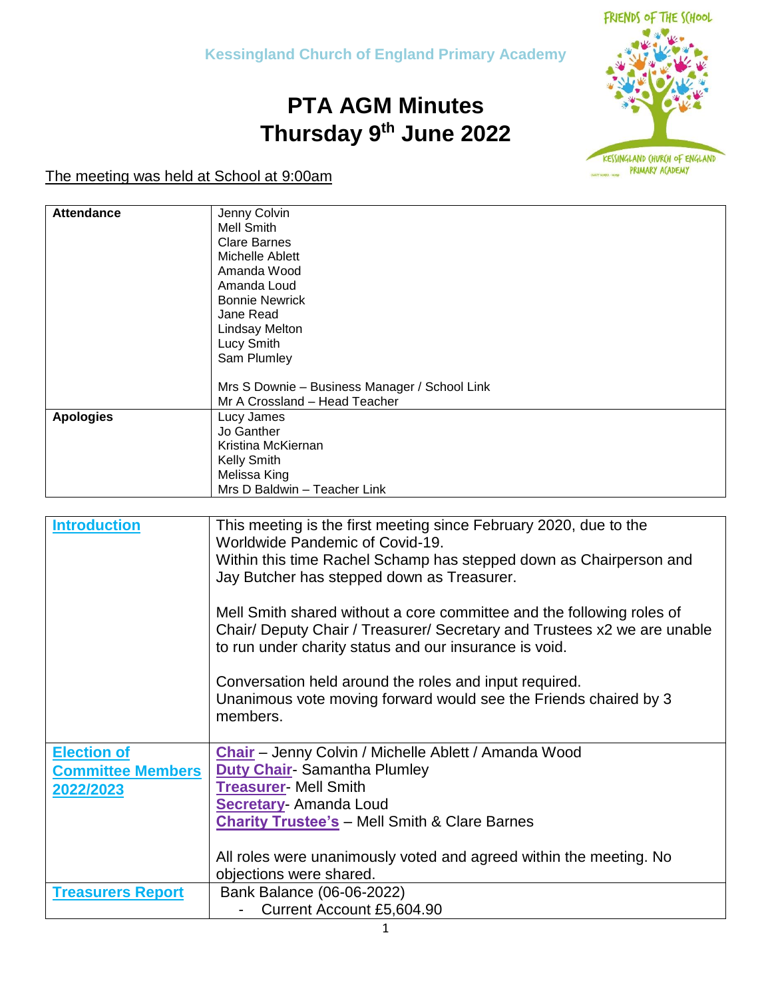## **PTA AGM Minutes Thursday 9th June 2022**



The meeting was held at School at 9:00am

| <b>Attendance</b> | Jenny Colvin                                  |
|-------------------|-----------------------------------------------|
|                   | Mell Smith                                    |
|                   | <b>Clare Barnes</b>                           |
|                   | Michelle Ablett                               |
|                   | Amanda Wood                                   |
|                   | Amanda Loud                                   |
|                   | <b>Bonnie Newrick</b>                         |
|                   | Jane Read                                     |
|                   | <b>Lindsay Melton</b>                         |
|                   | Lucy Smith                                    |
|                   | Sam Plumley                                   |
|                   | Mrs S Downie - Business Manager / School Link |
|                   | Mr A Crossland - Head Teacher                 |
| <b>Apologies</b>  | Lucy James                                    |
|                   | Jo Ganther                                    |
|                   | Kristina McKiernan                            |
|                   | <b>Kelly Smith</b>                            |
|                   | Melissa King                                  |
|                   | Mrs D Baldwin - Teacher Link                  |

| <b>Introduction</b>      | This meeting is the first meeting since February 2020, due to the<br>Worldwide Pandemic of Covid-19.                                                                                                        |
|--------------------------|-------------------------------------------------------------------------------------------------------------------------------------------------------------------------------------------------------------|
|                          | Within this time Rachel Schamp has stepped down as Chairperson and                                                                                                                                          |
|                          | Jay Butcher has stepped down as Treasurer.                                                                                                                                                                  |
|                          | Mell Smith shared without a core committee and the following roles of<br>Chair/ Deputy Chair / Treasurer/ Secretary and Trustees x2 we are unable<br>to run under charity status and our insurance is void. |
|                          | Conversation held around the roles and input required.<br>Unanimous vote moving forward would see the Friends chaired by 3<br>members.                                                                      |
| <b>Election of</b>       | Chair - Jenny Colvin / Michelle Ablett / Amanda Wood                                                                                                                                                        |
| <b>Committee Members</b> | <b>Duty Chair-Samantha Plumley</b>                                                                                                                                                                          |
| 2022/2023                | <b>Treasurer- Mell Smith</b>                                                                                                                                                                                |
|                          | <b>Secretary-Amanda Loud</b>                                                                                                                                                                                |
|                          | <b>Charity Trustee's - Mell Smith &amp; Clare Barnes</b>                                                                                                                                                    |
|                          |                                                                                                                                                                                                             |
|                          | All roles were unanimously voted and agreed within the meeting. No                                                                                                                                          |
|                          | objections were shared.                                                                                                                                                                                     |
| <b>Treasurers Report</b> | Bank Balance (06-06-2022)                                                                                                                                                                                   |
|                          | Current Account £5,604.90                                                                                                                                                                                   |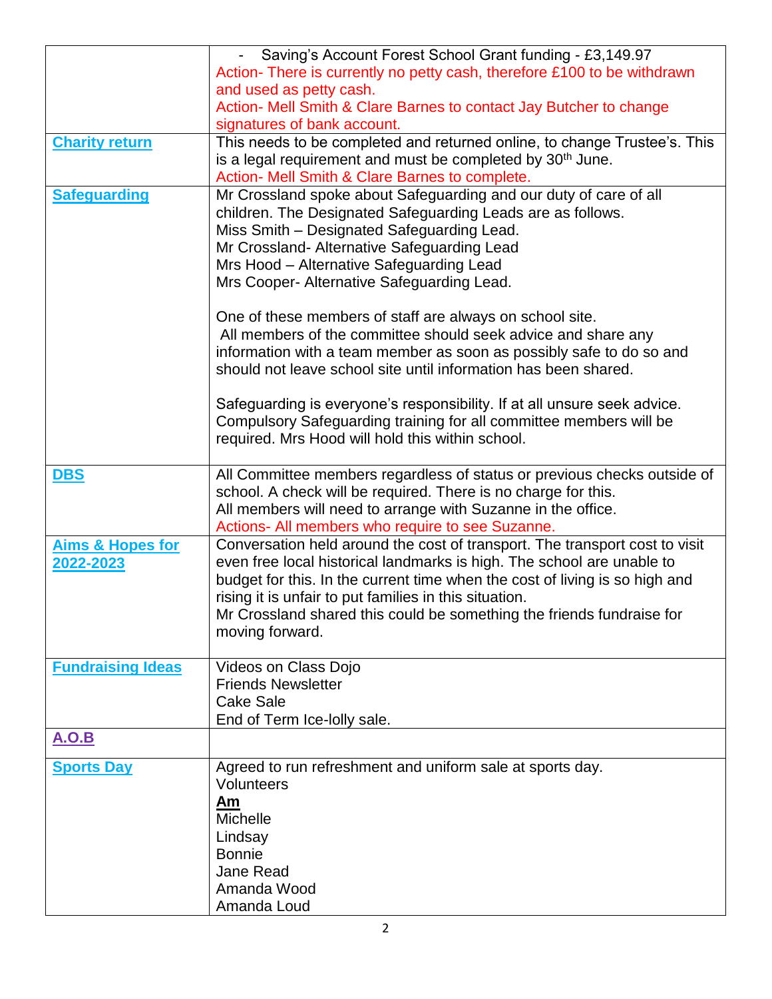|                             | Saving's Account Forest School Grant funding - £3,149.97                    |
|-----------------------------|-----------------------------------------------------------------------------|
|                             |                                                                             |
|                             | Action- There is currently no petty cash, therefore £100 to be withdrawn    |
|                             | and used as petty cash.                                                     |
|                             | Action- Mell Smith & Clare Barnes to contact Jay Butcher to change          |
|                             | signatures of bank account.                                                 |
| <b>Charity return</b>       | This needs to be completed and returned online, to change Trustee's. This   |
|                             | is a legal requirement and must be completed by 30 <sup>th</sup> June.      |
|                             | Action- Mell Smith & Clare Barnes to complete.                              |
| <b>Safeguarding</b>         | Mr Crossland spoke about Safeguarding and our duty of care of all           |
|                             | children. The Designated Safeguarding Leads are as follows.                 |
|                             | Miss Smith - Designated Safeguarding Lead.                                  |
|                             | Mr Crossland- Alternative Safeguarding Lead                                 |
|                             | Mrs Hood - Alternative Safeguarding Lead                                    |
|                             |                                                                             |
|                             | Mrs Cooper- Alternative Safeguarding Lead.                                  |
|                             | One of these members of staff are always on school site.                    |
|                             | All members of the committee should seek advice and share any               |
|                             |                                                                             |
|                             | information with a team member as soon as possibly safe to do so and        |
|                             | should not leave school site until information has been shared.             |
|                             | Safeguarding is everyone's responsibility. If at all unsure seek advice.    |
|                             | Compulsory Safeguarding training for all committee members will be          |
|                             |                                                                             |
|                             | required. Mrs Hood will hold this within school.                            |
| <b>DBS</b>                  | All Committee members regardless of status or previous checks outside of    |
|                             | school. A check will be required. There is no charge for this.              |
|                             |                                                                             |
|                             | All members will need to arrange with Suzanne in the office.                |
|                             | Actions- All members who require to see Suzanne.                            |
| <b>Aims &amp; Hopes for</b> | Conversation held around the cost of transport. The transport cost to visit |
| 2022-2023                   | even free local historical landmarks is high. The school are unable to      |
|                             | budget for this. In the current time when the cost of living is so high and |
|                             | rising it is unfair to put families in this situation.                      |
|                             | Mr Crossland shared this could be something the friends fundraise for       |
|                             | moving forward.                                                             |
|                             |                                                                             |
| <b>Fundraising Ideas</b>    | Videos on Class Dojo                                                        |
|                             | <b>Friends Newsletter</b>                                                   |
|                             | <b>Cake Sale</b>                                                            |
|                             | End of Term Ice-Iolly sale.                                                 |
| <b>A.O.B</b>                |                                                                             |
|                             |                                                                             |
| <b>Sports Day</b>           | Agreed to run refreshment and uniform sale at sports day.                   |
|                             | Volunteers                                                                  |
|                             | Am                                                                          |
|                             | <b>Michelle</b>                                                             |
|                             | Lindsay                                                                     |
|                             | <b>Bonnie</b>                                                               |
|                             | Jane Read                                                                   |
|                             | Amanda Wood                                                                 |
|                             | Amanda Loud                                                                 |
|                             |                                                                             |